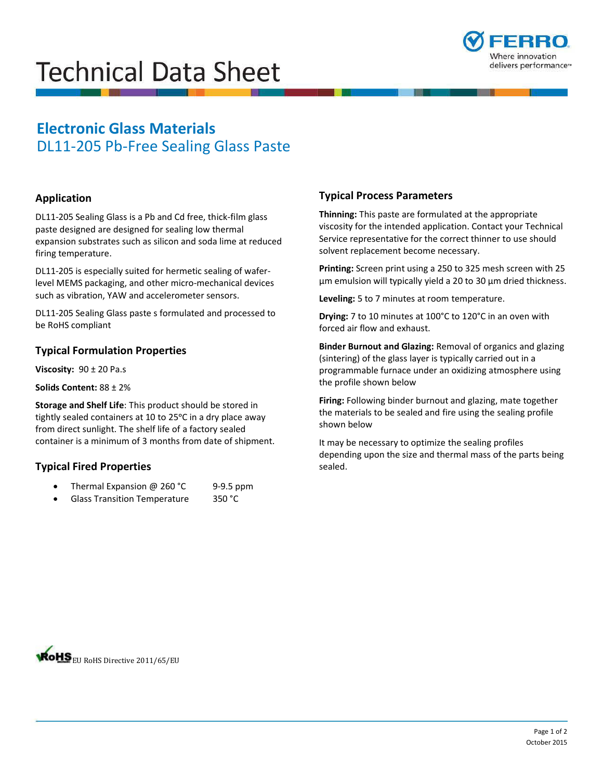# **Technical Data Sheet**



# **Electronic Glass Materials**  DL11-205 Pb-Free Sealing Glass Paste

# **Application**

DL11-205 Sealing Glass is a Pb and Cd free, thick-film glass paste designed are designed for sealing low thermal expansion substrates such as silicon and soda lime at reduced firing temperature.

DL11-205 is especially suited for hermetic sealing of waferlevel MEMS packaging, and other micro-mechanical devices such as vibration, YAW and accelerometer sensors.

DL11-205 Sealing Glass paste s formulated and processed to be RoHS compliant

### **Typical Formulation Properties**

**Viscosity:** 90 ± 20 Pa.s

#### **Solids Content:** 88 ± 2%

**Storage and Shelf Life**: This product should be stored in tightly sealed containers at 10 to 25°C in a dry place away from direct sunlight. The shelf life of a factory sealed container is a minimum of 3 months from date of shipment.

# **Typical Fired Properties**

- Thermal Expansion @ 260 °C 9-9.5 ppm
- Glass Transition Temperature 350 °C

# **Typical Process Parameters**

**Thinning:** This paste are formulated at the appropriate viscosity for the intended application. Contact your Technical Service representative for the correct thinner to use should solvent replacement become necessary.

**Printing:** Screen print using a 250 to 325 mesh screen with 25 µm emulsion will typically yield a 20 to 30 µm dried thickness.

**Leveling:** 5 to 7 minutes at room temperature.

**Drying:** 7 to 10 minutes at 100°C to 120°C in an oven with forced air flow and exhaust.

**Binder Burnout and Glazing:** Removal of organics and glazing (sintering) of the glass layer is typically carried out in a programmable furnace under an oxidizing atmosphere using the profile shown below

**Firing:** Following binder burnout and glazing, mate together the materials to be sealed and fire using the sealing profile shown below

It may be necessary to optimize the sealing profiles depending upon the size and thermal mass of the parts being sealed.